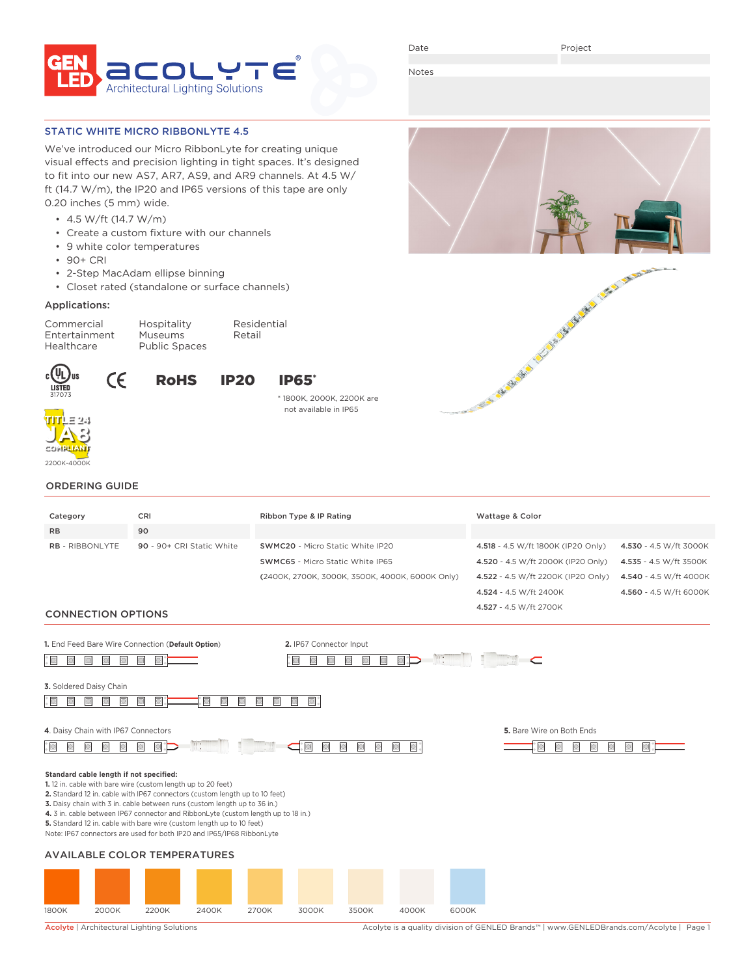

Date

Project

Notes

### STATIC WHITE MICRO RIBBONLYTE 4.5

We've introduced our Micro RibbonLyte for creating unique visual effects and precision lighting in tight spaces. It's designed to fit into our new AS7, AR7, AS9, and AR9 channels. At 4.5 W/ ft (14.7 W/m), the IP20 and IP65 versions of this tape are only 0.20 inches (5 mm) wide.

- 4.5 W/ft (14.7 W/m)
- Create a custom fixture with our channels
- 9 white color temperatures
- 90+ CRI
- 2-Step MacAdam ellipse binning
- Closet rated (standalone or surface channels)

#### Applications:

Commercial Hospitality Residential Entertainment Museums Retail<br>Healthcare Public Spaces

Public Spaces



**TITLE 24 JA8 COMPLIANT** 2200K-4000K



# \* 1800K, 2000K, 2200K are not available in IP65



# ORDERING GUIDE

| Category                                | CRI                                                                                                                                                        | Ribbon Type & IP Rating                                                                   | Wattage & Color                          |                        |
|-----------------------------------------|------------------------------------------------------------------------------------------------------------------------------------------------------------|-------------------------------------------------------------------------------------------|------------------------------------------|------------------------|
| <b>RB</b>                               | 90                                                                                                                                                         |                                                                                           |                                          |                        |
| <b>RB - RIBBONLYTE</b>                  | 90 - 90+ CRI Static White                                                                                                                                  | SWMC20 - Micro Static White IP20                                                          | 4.518 - 4.5 W/ft 1800K (IP20 Only)       | 4.530 - 4.5 W/ft 3000K |
|                                         |                                                                                                                                                            | <b>SWMC65</b> - Micro Static White IP65                                                   | 4.520 - 4.5 W/ft 2000K (IP20 Only)       | 4.535 - 4.5 W/ft 3500K |
|                                         |                                                                                                                                                            | (2400K, 2700K, 3000K, 3500K, 4000K, 6000K Only)                                           | 4.522 - 4.5 W/ft 2200K (IP20 Only)       | 4.540 - 4.5 W/ft 4000K |
|                                         |                                                                                                                                                            |                                                                                           | 4.524 - 4.5 W/ft 2400K                   | 4.560 - 4.5 W/ft 6000K |
|                                         |                                                                                                                                                            |                                                                                           | 4.527 - 4.5 W/ft 2700K                   |                        |
| <b>CONNECTION OPTIONS</b>               |                                                                                                                                                            |                                                                                           |                                          |                        |
|                                         | 1. End Feed Bare Wire Connection (Default Option)                                                                                                          | 2. IP67 Connector Input                                                                   |                                          |                        |
|                                         |                                                                                                                                                            | $\mathfrak{m}$ :                                                                          |                                          |                        |
|                                         |                                                                                                                                                            |                                                                                           | ⊂                                        |                        |
| 3. Soldered Daisy Chain                 |                                                                                                                                                            |                                                                                           |                                          |                        |
|                                         | O                                                                                                                                                          | $\Box$                                                                                    |                                          |                        |
|                                         |                                                                                                                                                            |                                                                                           |                                          |                        |
| 4. Daisy Chain with IP67 Connectors     |                                                                                                                                                            |                                                                                           | 5. Bare Wire on Both Ends                |                        |
| Ho                                      | $\mathbf{m}$ .                                                                                                                                             | $\Box$<br>$\Box$<br>$\Box$<br>$\hfill\ensuremath{\mathbb{D}}$<br>$\blacksquare$<br>$\Box$ | ◙<br>$\odot$<br>$\Box$<br>$\blacksquare$ | $\bigcirc$             |
|                                         |                                                                                                                                                            |                                                                                           |                                          |                        |
| Standard cable length if not specified: |                                                                                                                                                            |                                                                                           |                                          |                        |
|                                         | 1.12 in. cable with bare wire (custom length up to 20 feet)<br>2. Standard 12 in. cable with IP67 connectors (custom length up to 10 feet)                 |                                                                                           |                                          |                        |
|                                         | 3. Daisy chain with 3 in. cable between runs (custom length up to 36 in.)                                                                                  |                                                                                           |                                          |                        |
|                                         | 4. 3 in. cable between IP67 connector and RibbonLyte (custom length up to 18 in.)<br>5. Standard 12 in. cable with bare wire (custom length up to 10 feet) |                                                                                           |                                          |                        |
|                                         | Note: IP67 connectors are used for both IP20 and IP65/IP68 RibbonLyte                                                                                      |                                                                                           |                                          |                        |
|                                         |                                                                                                                                                            |                                                                                           |                                          |                        |
|                                         | <b>AVAILABLE COLOR TEMPERATURES</b>                                                                                                                        |                                                                                           |                                          |                        |
|                                         |                                                                                                                                                            |                                                                                           |                                          |                        |
|                                         |                                                                                                                                                            |                                                                                           |                                          |                        |



Acolyte | Architectural Lighting Solutions Acolyte is a quality division of GENLED Brands™ | www.GENLEDBrands.com/Acolyte | Page 1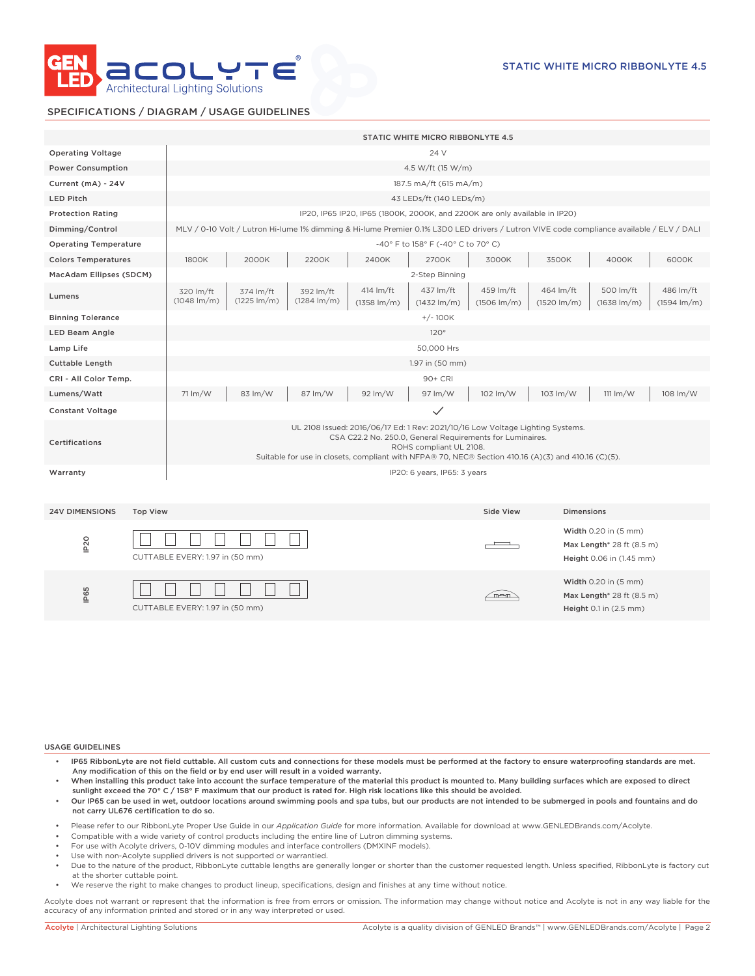

### SPECIFICATIONS / DIAGRAM / USAGE GUIDELINES

|                                          |  |                                                                                                                                                                                                                                                                               | STATIC WHITE MICRO RIBBONLYTE 4.5    |                                    |                                      |                                    |                                    |                                                                               |                                                                                         |                                    |  |
|------------------------------------------|--|-------------------------------------------------------------------------------------------------------------------------------------------------------------------------------------------------------------------------------------------------------------------------------|--------------------------------------|------------------------------------|--------------------------------------|------------------------------------|------------------------------------|-------------------------------------------------------------------------------|-----------------------------------------------------------------------------------------|------------------------------------|--|
| <b>Operating Voltage</b>                 |  | 24 V                                                                                                                                                                                                                                                                          |                                      |                                    |                                      |                                    |                                    |                                                                               |                                                                                         |                                    |  |
| <b>Power Consumption</b>                 |  | 4.5 W/ft (15 W/m)                                                                                                                                                                                                                                                             |                                      |                                    |                                      |                                    |                                    |                                                                               |                                                                                         |                                    |  |
| Current (mA) - 24V                       |  | 187.5 mA/ft (615 mA/m)                                                                                                                                                                                                                                                        |                                      |                                    |                                      |                                    |                                    |                                                                               |                                                                                         |                                    |  |
| <b>LED Pitch</b>                         |  | 43 LEDs/ft (140 LEDs/m)                                                                                                                                                                                                                                                       |                                      |                                    |                                      |                                    |                                    |                                                                               |                                                                                         |                                    |  |
| <b>Protection Rating</b>                 |  | IP20, IP65 IP20, IP65 (1800K, 2000K, and 2200K are only available in IP20)                                                                                                                                                                                                    |                                      |                                    |                                      |                                    |                                    |                                                                               |                                                                                         |                                    |  |
| Dimming/Control                          |  | MLV / 0-10 Volt / Lutron Hi-lume 1% dimming & Hi-lume Premier 0.1% L3D0 LED drivers / Lutron VIVE code compliance available / ELV / DALI                                                                                                                                      |                                      |                                    |                                      |                                    |                                    |                                                                               |                                                                                         |                                    |  |
| <b>Operating Temperature</b>             |  | -40° F to 158° F (-40° C to 70° C)                                                                                                                                                                                                                                            |                                      |                                    |                                      |                                    |                                    |                                                                               |                                                                                         |                                    |  |
| <b>Colors Temperatures</b>               |  | 1800K                                                                                                                                                                                                                                                                         | 2000K                                | 2200K                              | 2400K                                | 2700K                              | 3000K                              | 3500K                                                                         | 4000K                                                                                   | 6000K                              |  |
| MacAdam Ellipses (SDCM)                  |  | 2-Step Binning                                                                                                                                                                                                                                                                |                                      |                                    |                                      |                                    |                                    |                                                                               |                                                                                         |                                    |  |
| Lumens                                   |  | 320 lm/ft<br>$(1048 \, \text{Im/m})$                                                                                                                                                                                                                                          | 374 lm/ft<br>$(1225 \, \text{Im/m})$ | 392 lm/ft<br>$(1284 \text{ lm/m})$ | 414 lm/ft<br>$(1358 \, \text{Im/m})$ | 437 lm/ft<br>$(1432 \text{ lm/m})$ | 459 lm/ft<br>$(1506 \text{ Im/m})$ | 464 lm/ft<br>$(1520 \text{ lm/m})$                                            | 500 lm/ft<br>$(1638 \text{ lm/m})$                                                      | 486 lm/ft<br>$(1594 \text{ lm/m})$ |  |
| <b>Binning Tolerance</b>                 |  | $+/-100K$                                                                                                                                                                                                                                                                     |                                      |                                    |                                      |                                    |                                    |                                                                               |                                                                                         |                                    |  |
| <b>LED Beam Angle</b>                    |  | 120°                                                                                                                                                                                                                                                                          |                                      |                                    |                                      |                                    |                                    |                                                                               |                                                                                         |                                    |  |
| Lamp Life                                |  | 50,000 Hrs                                                                                                                                                                                                                                                                    |                                      |                                    |                                      |                                    |                                    |                                                                               |                                                                                         |                                    |  |
| Cuttable Length                          |  | 1.97 in (50 mm)                                                                                                                                                                                                                                                               |                                      |                                    |                                      |                                    |                                    |                                                                               |                                                                                         |                                    |  |
| CRI - All Color Temp.                    |  | 90+ CRI                                                                                                                                                                                                                                                                       |                                      |                                    |                                      |                                    |                                    |                                                                               |                                                                                         |                                    |  |
| Lumens/Watt                              |  | 71 lm/W                                                                                                                                                                                                                                                                       | 83 lm/W                              | 87 lm/W                            | 92 lm/W                              | 97 lm/W                            | 102 lm/W                           | 103 lm/W                                                                      | $111 \text{ Im}/\text{W}$                                                               | 108 lm/W                           |  |
| <b>Constant Voltage</b>                  |  | $\checkmark$                                                                                                                                                                                                                                                                  |                                      |                                    |                                      |                                    |                                    |                                                                               |                                                                                         |                                    |  |
| Certifications                           |  | UL 2108 Issued: 2016/06/17 Ed: 1 Rev: 2021/10/16 Low Voltage Lighting Systems.<br>CSA C22.2 No. 250.0, General Requirements for Luminaires.<br>ROHS compliant UL 2108.<br>Suitable for use in closets, compliant with NFPA® 70, NEC® Section 410.16 (A)(3) and 410.16 (C)(5). |                                      |                                    |                                      |                                    |                                    |                                                                               |                                                                                         |                                    |  |
| Warranty                                 |  | IP20: 6 years, IP65: 3 years                                                                                                                                                                                                                                                  |                                      |                                    |                                      |                                    |                                    |                                                                               |                                                                                         |                                    |  |
| <b>24V DIMENSIONS</b><br><b>Top View</b> |  |                                                                                                                                                                                                                                                                               |                                      |                                    |                                      | Side View                          | <b>Dimensions</b>                  |                                                                               |                                                                                         |                                    |  |
| IP <sub>20</sub>                         |  | CUTTABLE EVERY: 1.97 in (50 mm)                                                                                                                                                                                                                                               |                                      |                                    |                                      |                                    |                                    | Width 0.20 in (5 mm)<br>Max Length* 28 ft (8.5 m)<br>Height 0.06 in (1.45 mm) |                                                                                         |                                    |  |
| IP65                                     |  | CUTTABLE EVERY: 1.97 in (50 mm)                                                                                                                                                                                                                                               |                                      |                                    |                                      |                                    | <u>fresn</u>                       |                                                                               | Width 0.20 in (5 mm)<br>Max Length <sup>*</sup> 28 ft (8.5 m)<br>Height 0.1 in (2.5 mm) |                                    |  |

USAGE GUIDELINES

- IP65 RibbonLyte are not field cuttable. All custom cuts and connections for these models must be performed at the factory to ensure waterproofing standards are met. Any modification of this on the field or by end user will result in a voided warranty.
- When installing this product take into account the surface temperature of the material this product is mounted to. Many building surfaces which are exposed to direct sunlight exceed the 70° C / 158° F maximum that our product is rated for. High risk locations like this should be avoided.
- Our IP65 can be used in wet, outdoor locations around swimming pools and spa tubs, but our products are not intended to be submerged in pools and fountains and do not carry UL676 certification to do so.
- Please refer to our RibbonLyte Proper Use Guide in our *Application Guide* for more information. Available for download at www.GENLEDBrands.com/Acolyte.
- Compatible with a wide variety of control products including the entire line of Lutron dimming systems.
- For use with Acolyte drivers, 0-10V dimming modules and interface controllers (DMXINF models).
- Use with non-Acolyte supplied drivers is not supported or warrantied.
- Due to the nature of the product, RibbonLyte cuttable lengths are generally longer or shorter than the customer requested length. Unless specified, RibbonLyte is factory cut at the shorter cuttable point.
- We reserve the right to make changes to product lineup, specifications, design and finishes at any time without notice.

Acolyte does not warrant or represent that the information is free from errors or omission. The information may change without notice and Acolyte is not in any way liable for the accuracy of any information printed and stored or in any way interpreted or used.